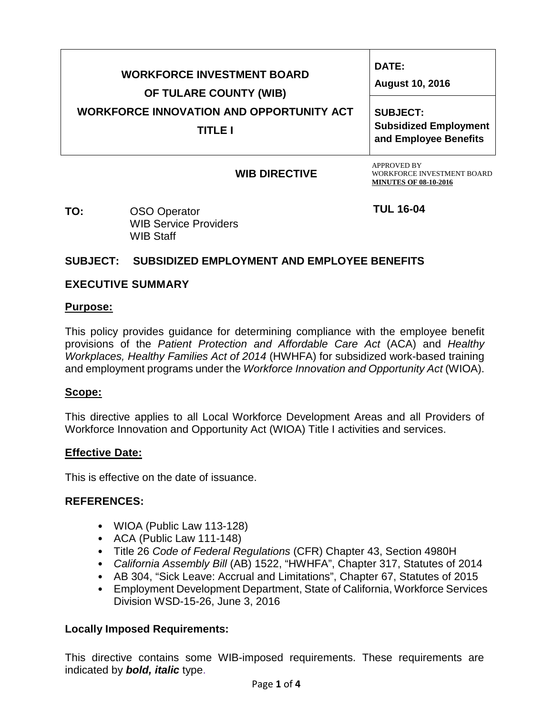| <b>WORKFORCE INVESTMENT BOARD</b><br>OF TULARE COUNTY (WIB)<br><b>WORKFORCE INNOVATION AND OPPORTUNITY ACT</b><br><b>TITLE I</b> | <b>DATE:</b><br><b>August 10, 2016</b><br><b>SUBJECT:</b><br><b>Subsidized Employment</b><br>and Employee Benefits |
|----------------------------------------------------------------------------------------------------------------------------------|--------------------------------------------------------------------------------------------------------------------|
| <b>WIB DIRECTIVE</b>                                                                                                             | <b>APPROVED BY</b><br><b>WORKFORCE INVESTMENT BOARD</b>                                                            |

**WIB DIRECTIVE**

**TUL 16-04**

**MINUTES OF 08-10-2016.**

**TO:** OSO Operator WIB Service Providers WIB Staff

# **SUBJECT: SUBSIDIZED EMPLOYMENT AND EMPLOYEE BENEFITS**

# **EXECUTIVE SUMMARY**

#### **Purpose:**

This policy provides guidance for determining compliance with the employee benefit provisions of the *Patient Protection and Affordable Care Act* (ACA) and *Healthy Workplaces, Healthy Families Act of 2014* (HWHFA) for subsidized work-based training and employment programs under the *Workforce Innovation and Opportunity Act* (WIOA).

# **Scope:**

This directive applies to all Local Workforce Development Areas and all Providers of Workforce Innovation and Opportunity Act (WIOA) Title I activities and services.

# **Effective Date:**

This is effective on the date of issuance.

# **REFERENCES:**

- WIOA (Public Law 113-128)
- ACA (Public Law 111-148)
- Title 26 *Code of Federal Regulations* (CFR) Chapter 43, Section 4980H
- *California Assembly Bill* (AB) 1522, "HWHFA", Chapter 317, Statutes of 2014
- AB 304, "Sick Leave: Accrual and Limitations", Chapter 67, Statutes of 2015
- Employment Development Department, State of California, Workforce Services Division WSD-15-26, June 3, 2016

# **Locally Imposed Requirements:**

This directive contains some WIB-imposed requirements. These requirements are indicated by *bold, italic* type.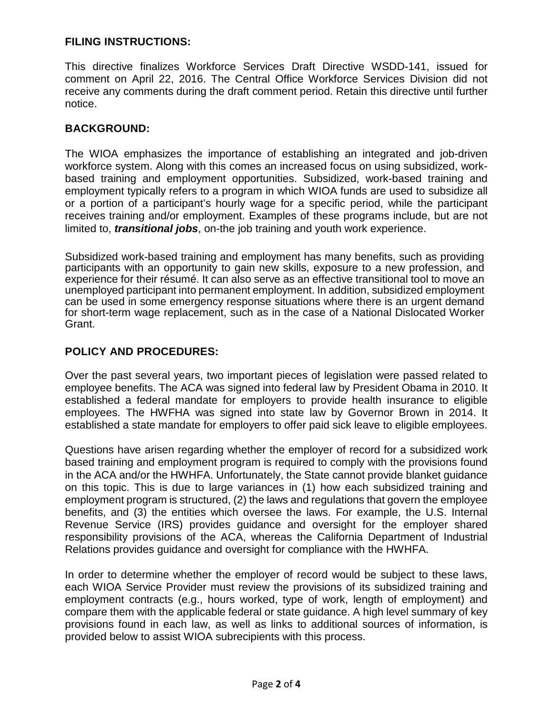# **FILING INSTRUCTIONS:**

This directive finalizes Workforce Services Draft Directive WSDD-141, issued for comment on April 22, 2016. The Central Office Workforce Services Division did not receive any comments during the draft comment period. Retain this directive until further notice.

# **BACKGROUND:**

The WIOA emphasizes the importance of establishing an integrated and job-driven workforce system. Along with this comes an increased focus on using subsidized, workbased training and employment opportunities. Subsidized, work-based training and employment typically refers to a program in which WIOA funds are used to subsidize all or a portion of a participant's hourly wage for a specific period, while the participant receives training and/or employment. Examples of these programs include, but are not limited to, *transitional jobs*, on-the job training and youth work experience.

Subsidized work-based training and employment has many benefits, such as providing participants with an opportunity to gain new skills, exposure to a new profession, and experience for their résumé. It can also serve as an effective transitional tool to move an unemployed participant into permanent employment. In addition, subsidized employment can be used in some emergency response situations where there is an urgent demand for short-term wage replacement, such as in the case of a National Dislocated Worker Grant.

# **POLICY AND PROCEDURES:**

Over the past several years, two important pieces of legislation were passed related to employee benefits. The ACA was signed into federal law by President Obama in 2010. It established a federal mandate for employers to provide health insurance to eligible employees. The HWFHA was signed into state law by Governor Brown in 2014. It established a state mandate for employers to offer paid sick leave to eligible employees.

Questions have arisen regarding whether the employer of record for a subsidized work based training and employment program is required to comply with the provisions found in the ACA and/or the HWHFA. Unfortunately, the State cannot provide blanket guidance on this topic. This is due to large variances in (1) how each subsidized training and employment program is structured, (2) the laws and regulations that govern the employee benefits, and (3) the entities which oversee the laws. For example, the U.S. Internal Revenue Service (IRS) provides guidance and oversight for the employer shared responsibility provisions of the ACA, whereas the California Department of Industrial Relations provides guidance and oversight for compliance with the HWHFA.

In order to determine whether the employer of record would be subject to these laws, each WIOA Service Provider must review the provisions of its subsidized training and employment contracts (e.g., hours worked, type of work, length of employment) and compare them with the applicable federal or state guidance. A high level summary of key provisions found in each law, as well as links to additional sources of information, is provided below to assist WIOA subrecipients with this process.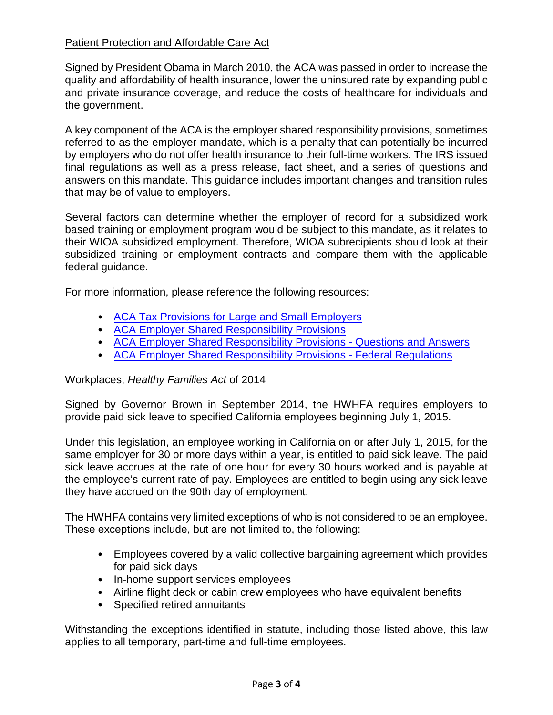# Patient Protection and Affordable Care Act

Signed by President Obama in March 2010, the ACA was passed in order to increase the quality and affordability of health insurance, lower the uninsured rate by expanding public and private insurance coverage, and reduce the costs of healthcare for individuals and the government.

A key component of the ACA is the employer shared responsibility provisions, sometimes referred to as the employer mandate, which is a penalty that can potentially be incurred by employers who do not offer health insurance to their full-time workers. The IRS issued final regulations as well as a press release, fact sheet, and a series of questions and answers on this mandate. This guidance includes important changes and transition rules that may be of value to employers.

Several factors can determine whether the employer of record for a subsidized work based training or employment program would be subject to this mandate, as it relates to their WIOA subsidized employment. Therefore, WIOA subrecipients should look at their subsidized training or employment contracts and compare them with the applicable federal guidance.

For more information, please reference the following resources:

- [ACA Tax Provisions for Large and Small Employers](https://www.irs.gov/affordable-care-act/employers)
- [ACA Employer Shared Responsibility Provisions](https://www.irs.gov/affordable-care-act/employers/employer-shared-responsibility-provisions)
- [ACA Employer Shared Responsibility Provisions -](https://www.irs.gov/affordable-care-act/employers/questions-and-answers-on-employer-shared-responsibility-provisions-under-the-affordable-care-act) Questions and Answers
- [ACA Employer Shared Responsibility Provisions -](https://www.federalregister.gov/articles/2014/02/12/2014-03082/shared-responsibility-for-employers-regarding-health-coverage) Federal Regulations

# Workplaces, *Healthy Families Act* of 2014

Signed by Governor Brown in September 2014, the HWHFA requires employers to provide paid sick leave to specified California employees beginning July 1, 2015.

Under this legislation, an employee working in California on or after July 1, 2015, for the same employer for 30 or more days within a year, is entitled to paid sick leave. The paid sick leave accrues at the rate of one hour for every 30 hours worked and is payable at the employee's current rate of pay. Employees are entitled to begin using any sick leave they have accrued on the 90th day of employment.

The HWHFA contains very limited exceptions of who is not considered to be an employee. These exceptions include, but are not limited to, the following:

- Employees covered by a valid collective bargaining agreement which provides for paid sick days
- In-home support services employees
- Airline flight deck or cabin crew employees who have equivalent benefits
- Specified retired annuitants

Withstanding the exceptions identified in statute, including those listed above, this law applies to all temporary, part-time and full-time employees.